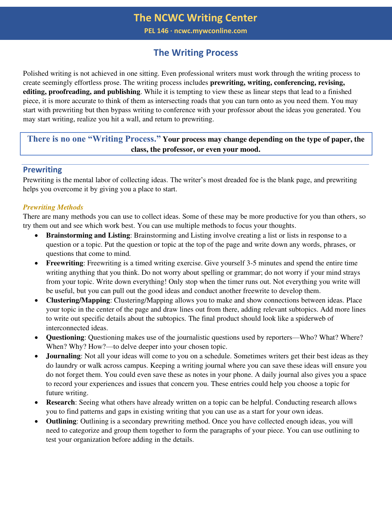**PEL 146 ∙ ncwc.mywconline.com** 

# **The Writing Process**

Polished writing is not achieved in one sitting. Even professional writers must work through the writing process to create seemingly effortless prose. The writing process includes **prewriting, writing, conferencing, revising, editing, proofreading, and publishing**. While it is tempting to view these as linear steps that lead to a finished piece, it is more accurate to think of them as intersecting roads that you can turn onto as you need them. You may start with prewriting but then bypass writing to conference with your professor about the ideas you generated. You may start writing, realize you hit a wall, and return to prewriting.

# **There is no one "Writing Process." Your process may change depending on the type of paper, the class, the professor, or even your mood.**

#### **Prewriting**

Prewriting is the mental labor of collecting ideas. The writer's most dreaded foe is the blank page, and prewriting helps you overcome it by giving you a place to start.

#### *Prewriting Methods*

There are many methods you can use to collect ideas. Some of these may be more productive for you than others, so try them out and see which work best. You can use multiple methods to focus your thoughts.

- **Brainstorming and Listing**: Brainstorming and Listing involve creating a list or lists in response to a question or a topic. Put the question or topic at the top of the page and write down any words, phrases, or questions that come to mind.
- **Freewriting**: Freewriting is a timed writing exercise. Give yourself 3-5 minutes and spend the entire time writing anything that you think. Do not worry about spelling or grammar; do not worry if your mind strays from your topic. Write down everything! Only stop when the timer runs out. Not everything you write will be useful, but you can pull out the good ideas and conduct another freewrite to develop them.
- **Clustering/Mapping**: Clustering/Mapping allows you to make and show connections between ideas. Place your topic in the center of the page and draw lines out from there, adding relevant subtopics. Add more lines to write out specific details about the subtopics. The final product should look like a spiderweb of interconnected ideas.
- **Questioning**: Questioning makes use of the journalistic questions used by reporters—Who? What? Where? When? Why? How?—to delve deeper into your chosen topic.
- **Journaling**: Not all your ideas will come to you on a schedule. Sometimes writers get their best ideas as they do laundry or walk across campus. Keeping a writing journal where you can save these ideas will ensure you do not forget them. You could even save these as notes in your phone. A daily journal also gives you a space to record your experiences and issues that concern you. These entries could help you choose a topic for future writing.
- **Research**: Seeing what others have already written on a topic can be helpful. Conducting research allows you to find patterns and gaps in existing writing that you can use as a start for your own ideas.
- **Outlining**: Outlining is a secondary prewriting method. Once you have collected enough ideas, you will need to categorize and group them together to form the paragraphs of your piece. You can use outlining to test your organization before adding in the details.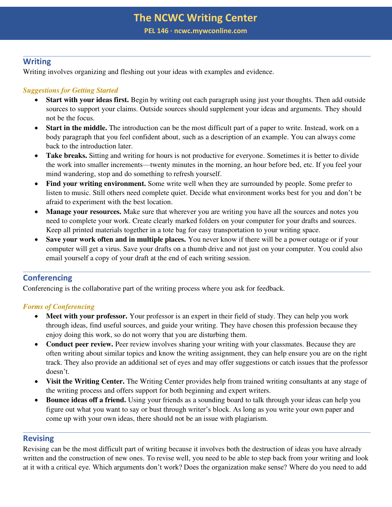**PEL 146 ∙ ncwc.mywconline.com** 

### **Writing**

Writing involves organizing and fleshing out your ideas with examples and evidence.

### *Suggestions for Getting Started*

- **Start with your ideas first.** Begin by writing out each paragraph using just your thoughts. Then add outside sources to support your claims. Outside sources should supplement your ideas and arguments. They should not be the focus.
- **Start in the middle.** The introduction can be the most difficult part of a paper to write. Instead, work on a body paragraph that you feel confident about, such as a description of an example. You can always come back to the introduction later.
- **Take breaks.** Sitting and writing for hours is not productive for everyone. Sometimes it is better to divide the work into smaller increments—twenty minutes in the morning, an hour before bed, etc. If you feel your mind wandering, stop and do something to refresh yourself.
- **Find your writing environment.** Some write well when they are surrounded by people. Some prefer to listen to music. Still others need complete quiet. Decide what environment works best for you and don't be afraid to experiment with the best location.
- **Manage your resources.** Make sure that wherever you are writing you have all the sources and notes you need to complete your work. Create clearly marked folders on your computer for your drafts and sources. Keep all printed materials together in a tote bag for easy transportation to your writing space.
- **Save your work often and in multiple places.** You never know if there will be a power outage or if your computer will get a virus. Save your drafts on a thumb drive and not just on your computer. You could also email yourself a copy of your draft at the end of each writing session.

# **Conferencing**

Conferencing is the collaborative part of the writing process where you ask for feedback.

#### *Forms of Conferencing*

- **Meet with your professor.** Your professor is an expert in their field of study. They can help you work through ideas, find useful sources, and guide your writing. They have chosen this profession because they enjoy doing this work, so do not worry that you are disturbing them.
- **Conduct peer review.** Peer review involves sharing your writing with your classmates. Because they are often writing about similar topics and know the writing assignment, they can help ensure you are on the right track. They also provide an additional set of eyes and may offer suggestions or catch issues that the professor doesn't.
- **Visit the Writing Center.** The Writing Center provides help from trained writing consultants at any stage of the writing process and offers support for both beginning and expert writers.
- **Bounce ideas off a friend.** Using your friends as a sounding board to talk through your ideas can help you figure out what you want to say or bust through writer's block. As long as you write your own paper and come up with your own ideas, there should not be an issue with plagiarism.

### **Revising**

Revising can be the most difficult part of writing because it involves both the destruction of ideas you have already written and the construction of new ones. To revise well, you need to be able to step back from your writing and look at it with a critical eye. Which arguments don't work? Does the organization make sense? Where do you need to add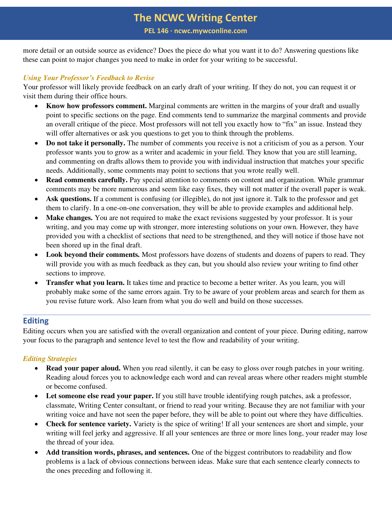**PEL 146 ∙ ncwc.mywconline.com** 

more detail or an outside source as evidence? Does the piece do what you want it to do? Answering questions like these can point to major changes you need to make in order for your writing to be successful.

#### *Using Your Professor's Feedback to Revise*

Your professor will likely provide feedback on an early draft of your writing. If they do not, you can request it or visit them during their office hours.

- **Know how professors comment.** Marginal comments are written in the margins of your draft and usually point to specific sections on the page. End comments tend to summarize the marginal comments and provide an overall critique of the piece. Most professors will not tell you exactly how to "fix" an issue. Instead they will offer alternatives or ask you questions to get you to think through the problems.
- **Do not take it personally.** The number of comments you receive is not a criticism of you as a person. Your professor wants you to grow as a writer and academic in your field. They know that you are still learning, and commenting on drafts allows them to provide you with individual instruction that matches your specific needs. Additionally, some comments may point to sections that you wrote really well.
- **Read comments carefully.** Pay special attention to comments on content and organization. While grammar comments may be more numerous and seem like easy fixes, they will not matter if the overall paper is weak.
- **Ask questions.** If a comment is confusing (or illegible), do not just ignore it. Talk to the professor and get them to clarify. In a one-on-one conversation, they will be able to provide examples and additional help.
- **Make changes.** You are not required to make the exact revisions suggested by your professor. It is your writing, and you may come up with stronger, more interesting solutions on your own. However, they have provided you with a checklist of sections that need to be strengthened, and they will notice if those have not been shored up in the final draft.
- Look beyond their comments. Most professors have dozens of students and dozens of papers to read. They will provide you with as much feedback as they can, but you should also review your writing to find other sections to improve.
- **Transfer what you learn.** It takes time and practice to become a better writer. As you learn, you will probably make some of the same errors again. Try to be aware of your problem areas and search for them as you revise future work. Also learn from what you do well and build on those successes.

### **Editing**

Editing occurs when you are satisfied with the overall organization and content of your piece. During editing, narrow your focus to the paragraph and sentence level to test the flow and readability of your writing.

#### *Editing Strategies*

- **Read your paper aloud.** When you read silently, it can be easy to gloss over rough patches in your writing. Reading aloud forces you to acknowledge each word and can reveal areas where other readers might stumble or become confused.
- Let someone else read your paper. If you still have trouble identifying rough patches, ask a professor, classmate, Writing Center consultant, or friend to read your writing. Because they are not familiar with your writing voice and have not seen the paper before, they will be able to point out where they have difficulties.
- **Check for sentence variety.** Variety is the spice of writing! If all your sentences are short and simple, your writing will feel jerky and aggressive. If all your sentences are three or more lines long, your reader may lose the thread of your idea.
- **Add transition words, phrases, and sentences.** One of the biggest contributors to readability and flow problems is a lack of obvious connections between ideas. Make sure that each sentence clearly connects to the ones preceding and following it.